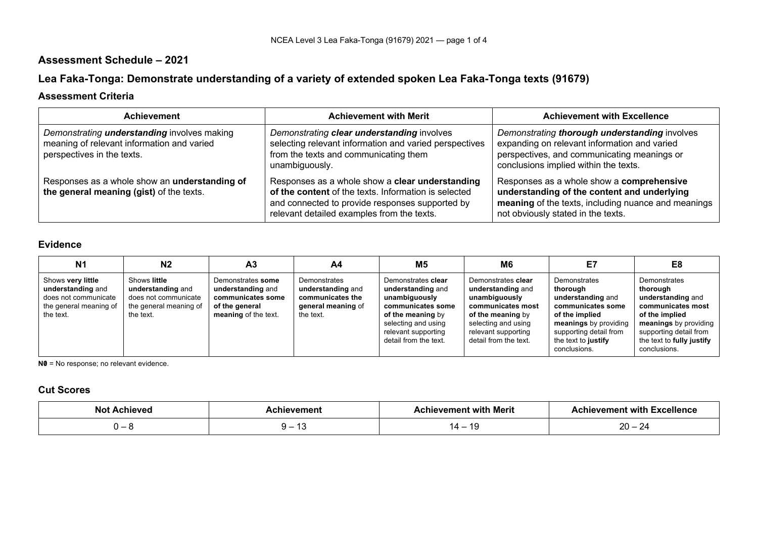## **Assessment Schedule – 2021**

# **Lea Faka-Tonga: Demonstrate understanding of a variety of extended spoken Lea Faka-Tonga texts (91679)**

### **Assessment Criteria**

| <b>Achievement</b>                                                                                                             | <b>Achievement with Merit</b>                                                                                                                                                                            | <b>Achievement with Excellence</b>                                                                                                                                                    |
|--------------------------------------------------------------------------------------------------------------------------------|----------------------------------------------------------------------------------------------------------------------------------------------------------------------------------------------------------|---------------------------------------------------------------------------------------------------------------------------------------------------------------------------------------|
| Demonstrating <b>understanding</b> involves making<br>meaning of relevant information and varied<br>perspectives in the texts. | Demonstrating clear understanding involves<br>selecting relevant information and varied perspectives<br>from the texts and communicating them<br>unambiguously.                                          | Demonstrating thorough understanding involves<br>expanding on relevant information and varied<br>perspectives, and communicating meanings or<br>conclusions implied within the texts. |
| Responses as a whole show an understanding of<br>the general meaning (gist) of the texts.                                      | Responses as a whole show a clear understanding<br>of the content of the texts. Information is selected<br>and connected to provide responses supported by<br>relevant detailed examples from the texts. | Responses as a whole show a comprehensive<br>understanding of the content and underlying<br>meaning of the texts, including nuance and meanings<br>not obviously stated in the texts. |

### **Evidence**

| N <sub>1</sub>                                                                                        | N <sub>2</sub>                                                                                   | A <sub>3</sub>                                                                                        | A4                                                                                       | <b>M5</b>                                                                                                                                                                 | M6                                                                                                                                                                        | E7                                                                                                                                                                             | E8                                                                                                                                                                                   |
|-------------------------------------------------------------------------------------------------------|--------------------------------------------------------------------------------------------------|-------------------------------------------------------------------------------------------------------|------------------------------------------------------------------------------------------|---------------------------------------------------------------------------------------------------------------------------------------------------------------------------|---------------------------------------------------------------------------------------------------------------------------------------------------------------------------|--------------------------------------------------------------------------------------------------------------------------------------------------------------------------------|--------------------------------------------------------------------------------------------------------------------------------------------------------------------------------------|
| Shows very little<br>understanding and<br>does not communicate<br>the general meaning of<br>the text. | Shows little<br>understanding and<br>does not communicate<br>the general meaning of<br>the text. | Demonstrates some<br>understanding and<br>communicates some<br>of the general<br>meaning of the text. | Demonstrates<br>understanding and<br>communicates the<br>general meaning of<br>the text. | Demonstrates clear<br>understanding and<br>unambiguously<br>communicates some<br>of the meaning by<br>selecting and using<br>relevant supporting<br>detail from the text. | Demonstrates clear<br>understanding and<br>unambiguously<br>communicates most<br>of the meaning by<br>selecting and using<br>relevant supporting<br>detail from the text. | Demonstrates<br>thorough<br>understanding and<br>communicates some<br>of the implied<br>meanings by providing<br>supporting detail from<br>the text to justify<br>conclusions. | Demonstrates<br>thorough<br>understanding and<br>communicates most<br>of the implied<br>meanings by providing<br>supporting detail from<br>the text to fully justify<br>conclusions. |

**N0** = No response; no relevant evidence.

### **Cut Scores**

| No     | remen.     | : with Merit<br>emen.           | vement with<br><b>Excellence</b><br>⊸uniev∽ |
|--------|------------|---------------------------------|---------------------------------------------|
| $\sim$ | ____<br>שו | $\overline{\phantom{a}}$<br>. . | nn<br>$\sim$<br>∼<br>∠∪                     |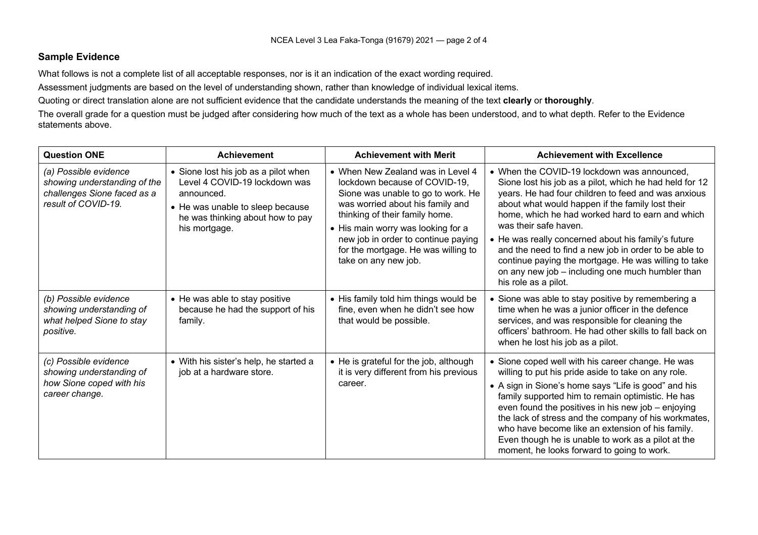#### **Sample Evidence**

What follows is not a complete list of all acceptable responses, nor is it an indication of the exact wording required.

Assessment judgments are based on the level of understanding shown, rather than knowledge of individual lexical items.

Quoting or direct translation alone are not sufficient evidence that the candidate understands the meaning of the text **clearly** or **thoroughly**.

The overall grade for a question must be judged after considering how much of the text as a whole has been understood, and to what depth. Refer to the Evidence statements above.

| <b>Question ONE</b>                                                                                         | Achievement                                                                                                                                                                  | <b>Achievement with Merit</b>                                                                                                                                                                                                                                                                                              | <b>Achievement with Excellence</b>                                                                                                                                                                                                                                                                                                                                                                                                                                                                                                                 |
|-------------------------------------------------------------------------------------------------------------|------------------------------------------------------------------------------------------------------------------------------------------------------------------------------|----------------------------------------------------------------------------------------------------------------------------------------------------------------------------------------------------------------------------------------------------------------------------------------------------------------------------|----------------------------------------------------------------------------------------------------------------------------------------------------------------------------------------------------------------------------------------------------------------------------------------------------------------------------------------------------------------------------------------------------------------------------------------------------------------------------------------------------------------------------------------------------|
| (a) Possible evidence<br>showing understanding of the<br>challenges Sione faced as a<br>result of COVID-19. | • Sione lost his job as a pilot when<br>Level 4 COVID-19 lockdown was<br>announced.<br>• He was unable to sleep because<br>he was thinking about how to pay<br>his mortgage. | • When New Zealand was in Level 4<br>lockdown because of COVID-19,<br>Sione was unable to go to work. He<br>was worried about his family and<br>thinking of their family home.<br>• His main worry was looking for a<br>new job in order to continue paying<br>for the mortgage. He was willing to<br>take on any new job. | • When the COVID-19 lockdown was announced,<br>Sione lost his job as a pilot, which he had held for 12<br>years. He had four children to feed and was anxious<br>about what would happen if the family lost their<br>home, which he had worked hard to earn and which<br>was their safe haven.<br>• He was really concerned about his family's future<br>and the need to find a new job in order to be able to<br>continue paying the mortgage. He was willing to take<br>on any new job - including one much humbler than<br>his role as a pilot. |
| (b) Possible evidence<br>showing understanding of<br>what helped Sione to stay<br>positive.                 | • He was able to stay positive<br>because he had the support of his<br>family.                                                                                               | • His family told him things would be<br>fine, even when he didn't see how<br>that would be possible.                                                                                                                                                                                                                      | Sione was able to stay positive by remembering a<br>time when he was a junior officer in the defence<br>services, and was responsible for cleaning the<br>officers' bathroom. He had other skills to fall back on<br>when he lost his job as a pilot.                                                                                                                                                                                                                                                                                              |
| (c) Possible evidence<br>showing understanding of<br>how Sione coped with his<br>career change.             | • With his sister's help, he started a<br>job at a hardware store.                                                                                                           | • He is grateful for the job, although<br>it is very different from his previous<br>career.                                                                                                                                                                                                                                | • Sione coped well with his career change. He was<br>willing to put his pride aside to take on any role.<br>• A sign in Sione's home says "Life is good" and his<br>family supported him to remain optimistic. He has<br>even found the positives in his new job - enjoying<br>the lack of stress and the company of his workmates,<br>who have become like an extension of his family.<br>Even though he is unable to work as a pilot at the<br>moment, he looks forward to going to work.                                                        |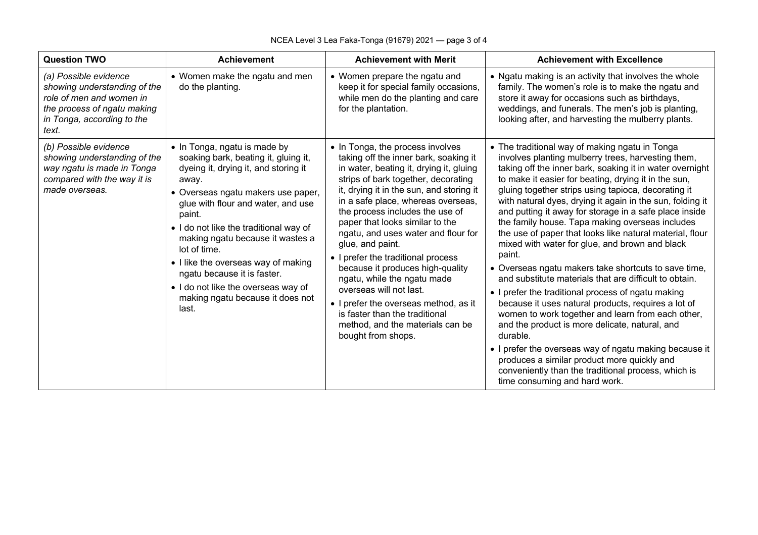| <b>Question TWO</b>                                                                                                                                     | <b>Achievement</b>                                                                                                                                                                                                                                                                                                                                                                                                                                                  | <b>Achievement with Merit</b>                                                                                                                                                                                                                                                                                                                                                                                                                                                                                                                                                                                                                           | <b>Achievement with Excellence</b>                                                                                                                                                                                                                                                                                                                                                                                                                                                                                                                                                                                                                                                                                                                                                                                                                                                                                                                                                                                                                                                                                                   |
|---------------------------------------------------------------------------------------------------------------------------------------------------------|---------------------------------------------------------------------------------------------------------------------------------------------------------------------------------------------------------------------------------------------------------------------------------------------------------------------------------------------------------------------------------------------------------------------------------------------------------------------|---------------------------------------------------------------------------------------------------------------------------------------------------------------------------------------------------------------------------------------------------------------------------------------------------------------------------------------------------------------------------------------------------------------------------------------------------------------------------------------------------------------------------------------------------------------------------------------------------------------------------------------------------------|--------------------------------------------------------------------------------------------------------------------------------------------------------------------------------------------------------------------------------------------------------------------------------------------------------------------------------------------------------------------------------------------------------------------------------------------------------------------------------------------------------------------------------------------------------------------------------------------------------------------------------------------------------------------------------------------------------------------------------------------------------------------------------------------------------------------------------------------------------------------------------------------------------------------------------------------------------------------------------------------------------------------------------------------------------------------------------------------------------------------------------------|
| (a) Possible evidence<br>showing understanding of the<br>role of men and women in<br>the process of ngatu making<br>in Tonga, according to the<br>text. | • Women make the ngatu and men<br>do the planting.                                                                                                                                                                                                                                                                                                                                                                                                                  | • Women prepare the ngatu and<br>keep it for special family occasions,<br>while men do the planting and care<br>for the plantation.                                                                                                                                                                                                                                                                                                                                                                                                                                                                                                                     | • Ngatu making is an activity that involves the whole<br>family. The women's role is to make the ngatu and<br>store it away for occasions such as birthdays,<br>weddings, and funerals. The men's job is planting,<br>looking after, and harvesting the mulberry plants.                                                                                                                                                                                                                                                                                                                                                                                                                                                                                                                                                                                                                                                                                                                                                                                                                                                             |
| (b) Possible evidence<br>showing understanding of the<br>way ngatu is made in Tonga<br>compared with the way it is<br>made overseas.                    | • In Tonga, ngatu is made by<br>soaking bark, beating it, gluing it,<br>dyeing it, drying it, and storing it<br>away.<br>• Overseas ngatu makers use paper,<br>glue with flour and water, and use<br>paint.<br>• I do not like the traditional way of<br>making ngatu because it wastes a<br>lot of time.<br>• I like the overseas way of making<br>ngatu because it is faster.<br>. I do not like the overseas way of<br>making ngatu because it does not<br>last. | • In Tonga, the process involves<br>taking off the inner bark, soaking it<br>in water, beating it, drying it, gluing<br>strips of bark together, decorating<br>it, drying it in the sun, and storing it<br>in a safe place, whereas overseas,<br>the process includes the use of<br>paper that looks similar to the<br>ngatu, and uses water and flour for<br>glue, and paint.<br>• I prefer the traditional process<br>because it produces high-quality<br>ngatu, while the ngatu made<br>overseas will not last.<br>• I prefer the overseas method, as it<br>is faster than the traditional<br>method, and the materials can be<br>bought from shops. | • The traditional way of making ngatu in Tonga<br>involves planting mulberry trees, harvesting them,<br>taking off the inner bark, soaking it in water overnight<br>to make it easier for beating, drying it in the sun,<br>gluing together strips using tapioca, decorating it<br>with natural dyes, drying it again in the sun, folding it<br>and putting it away for storage in a safe place inside<br>the family house. Tapa making overseas includes<br>the use of paper that looks like natural material, flour<br>mixed with water for glue, and brown and black<br>paint.<br>• Overseas ngatu makers take shortcuts to save time,<br>and substitute materials that are difficult to obtain.<br>• I prefer the traditional process of ngatu making<br>because it uses natural products, requires a lot of<br>women to work together and learn from each other,<br>and the product is more delicate, natural, and<br>durable.<br>• I prefer the overseas way of ngatu making because it<br>produces a similar product more quickly and<br>conveniently than the traditional process, which is<br>time consuming and hard work. |